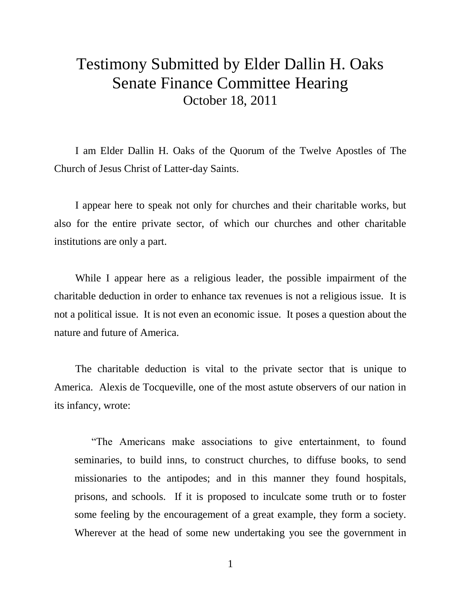## Testimony Submitted by Elder Dallin H. Oaks Senate Finance Committee Hearing October 18, 2011

I am Elder Dallin H. Oaks of the Quorum of the Twelve Apostles of The Church of Jesus Christ of Latter-day Saints.

I appear here to speak not only for churches and their charitable works, but also for the entire private sector, of which our churches and other charitable institutions are only a part.

While I appear here as a religious leader, the possible impairment of the charitable deduction in order to enhance tax revenues is not a religious issue. It is not a political issue. It is not even an economic issue. It poses a question about the nature and future of America.

The charitable deduction is vital to the private sector that is unique to America. Alexis de Tocqueville, one of the most astute observers of our nation in its infancy, wrote:

"The Americans make associations to give entertainment, to found seminaries, to build inns, to construct churches, to diffuse books, to send missionaries to the antipodes; and in this manner they found hospitals, prisons, and schools. If it is proposed to inculcate some truth or to foster some feeling by the encouragement of a great example, they form a society. Wherever at the head of some new undertaking you see the government in

1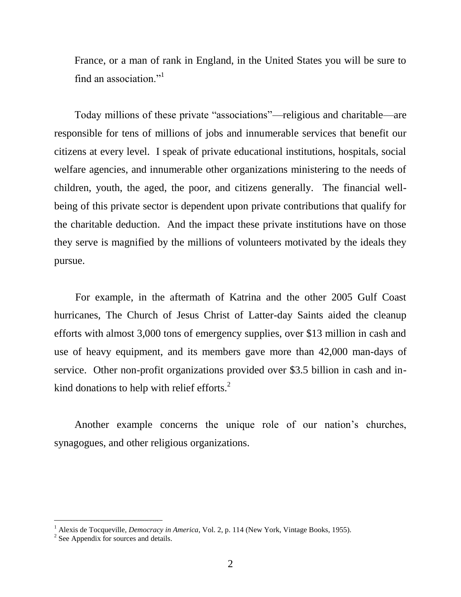France, or a man of rank in England, in the United States you will be sure to find an association."<sup>1</sup>

Today millions of these private "associations"—religious and charitable—are responsible for tens of millions of jobs and innumerable services that benefit our citizens at every level. I speak of private educational institutions, hospitals, social welfare agencies, and innumerable other organizations ministering to the needs of children, youth, the aged, the poor, and citizens generally. The financial wellbeing of this private sector is dependent upon private contributions that qualify for the charitable deduction. And the impact these private institutions have on those they serve is magnified by the millions of volunteers motivated by the ideals they pursue.

For example, in the aftermath of Katrina and the other 2005 Gulf Coast hurricanes, The Church of Jesus Christ of Latter-day Saints aided the cleanup efforts with almost 3,000 tons of emergency supplies, over \$13 million in cash and use of heavy equipment, and its members gave more than 42,000 man-days of service. Other non-profit organizations provided over \$3.5 billion in cash and inkind donations to help with relief efforts.<sup>2</sup>

Another example concerns the unique role of our nation's churches, synagogues, and other religious organizations.

l

<sup>&</sup>lt;sup>1</sup> Alexis de Tocqueville, *Democracy in America*, Vol. 2, p. 114 (New York, Vintage Books, 1955).

<sup>&</sup>lt;sup>2</sup> See Appendix for sources and details.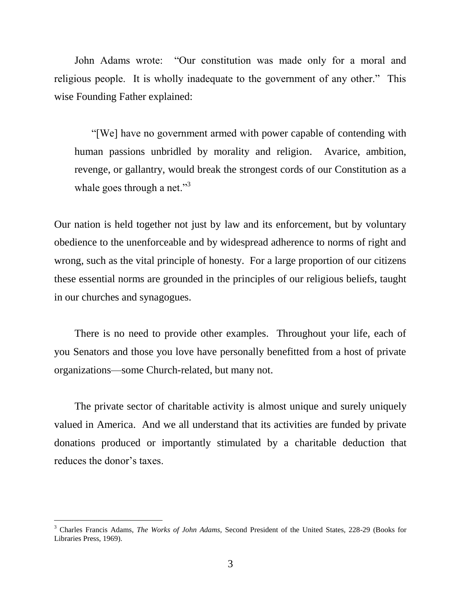John Adams wrote: "Our constitution was made only for a moral and religious people. It is wholly inadequate to the government of any other." This wise Founding Father explained:

"[We] have no government armed with power capable of contending with human passions unbridled by morality and religion. Avarice, ambition, revenge, or gallantry, would break the strongest cords of our Constitution as a whale goes through a net."<sup>3</sup>

Our nation is held together not just by law and its enforcement, but by voluntary obedience to the unenforceable and by widespread adherence to norms of right and wrong, such as the vital principle of honesty. For a large proportion of our citizens these essential norms are grounded in the principles of our religious beliefs, taught in our churches and synagogues.

There is no need to provide other examples. Throughout your life, each of you Senators and those you love have personally benefitted from a host of private organizations—some Church-related, but many not.

The private sector of charitable activity is almost unique and surely uniquely valued in America. And we all understand that its activities are funded by private donations produced or importantly stimulated by a charitable deduction that reduces the donor's taxes.

l

<sup>3</sup> Charles Francis Adams, *The Works of John Adams,* Second President of the United States, 228-29 (Books for Libraries Press, 1969).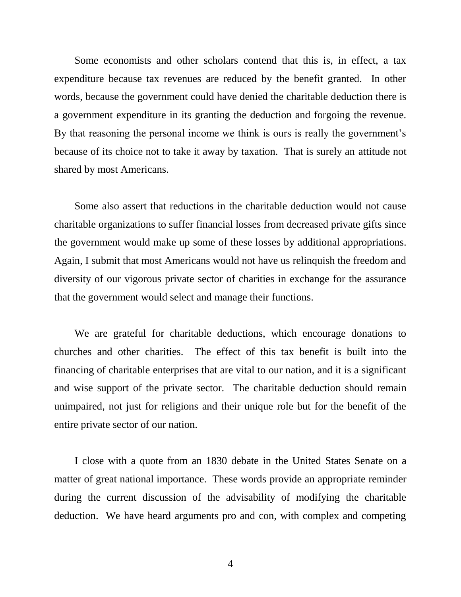Some economists and other scholars contend that this is, in effect, a tax expenditure because tax revenues are reduced by the benefit granted. In other words, because the government could have denied the charitable deduction there is a government expenditure in its granting the deduction and forgoing the revenue. By that reasoning the personal income we think is ours is really the government's because of its choice not to take it away by taxation. That is surely an attitude not shared by most Americans.

Some also assert that reductions in the charitable deduction would not cause charitable organizations to suffer financial losses from decreased private gifts since the government would make up some of these losses by additional appropriations. Again, I submit that most Americans would not have us relinquish the freedom and diversity of our vigorous private sector of charities in exchange for the assurance that the government would select and manage their functions.

We are grateful for charitable deductions, which encourage donations to churches and other charities. The effect of this tax benefit is built into the financing of charitable enterprises that are vital to our nation, and it is a significant and wise support of the private sector. The charitable deduction should remain unimpaired, not just for religions and their unique role but for the benefit of the entire private sector of our nation.

I close with a quote from an 1830 debate in the United States Senate on a matter of great national importance. These words provide an appropriate reminder during the current discussion of the advisability of modifying the charitable deduction. We have heard arguments pro and con, with complex and competing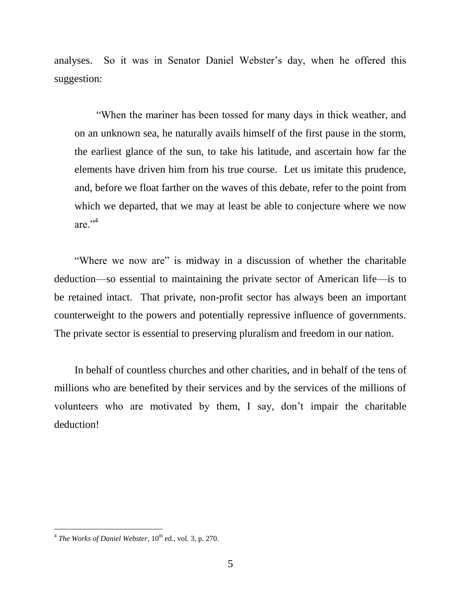analyses. So it was in Senator Daniel Webster's day, when he offered this suggestion:

"When the mariner has been tossed for many days in thick weather, and on an unknown sea, he naturally avails himself of the first pause in the storm, the earliest glance of the sun, to take his latitude, and ascertain how far the elements have driven him from his true course. Let us imitate this prudence, and, before we float farther on the waves of this debate, refer to the point from which we departed, that we may at least be able to conjecture where we now are."<sup>4</sup>

"Where we now are" is midway in a discussion of whether the charitable deduction—so essential to maintaining the private sector of American life—is to be retained intact. That private, non-profit sector has always been an important counterweight to the powers and potentially repressive influence of governments. The private sector is essential to preserving pluralism and freedom in our nation.

In behalf of countless churches and other charities, and in behalf of the tens of millions who are benefited by their services and by the services of the millions of volunteers who are motivated by them, I say, don't impair the charitable deduction!

<sup>&</sup>lt;sup>4</sup> The Works of Daniel Webster, 10<sup>th</sup> ed., vol. 3, p. 270.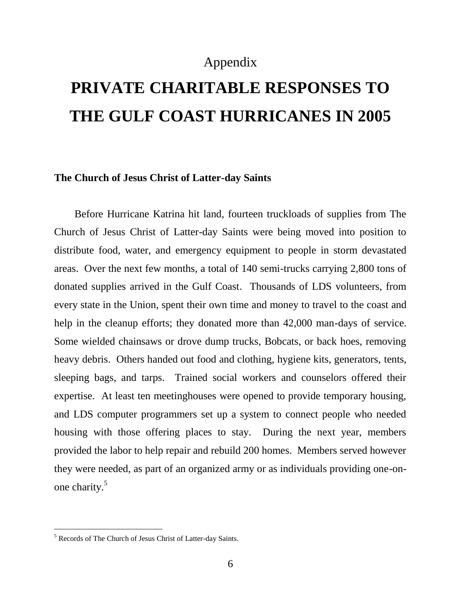### Appendix

# **PRIVATE CHARITABLE RESPONSES TO THE GULF COAST HURRICANES IN 2005**

#### **The Church of Jesus Christ of Latter-day Saints**

Before Hurricane Katrina hit land, fourteen truckloads of supplies from The Church of Jesus Christ of Latter-day Saints were being moved into position to distribute food, water, and emergency equipment to people in storm devastated areas. Over the next few months, a total of 140 semi-trucks carrying 2,800 tons of donated supplies arrived in the Gulf Coast. Thousands of LDS volunteers, from every state in the Union, spent their own time and money to travel to the coast and help in the cleanup efforts; they donated more than 42,000 man-days of service. Some wielded chainsaws or drove dump trucks, Bobcats, or back hoes, removing heavy debris. Others handed out food and clothing, hygiene kits, generators, tents, sleeping bags, and tarps. Trained social workers and counselors offered their expertise. At least ten meetinghouses were opened to provide temporary housing, and LDS computer programmers set up a system to connect people who needed housing with those offering places to stay. During the next year, members provided the labor to help repair and rebuild 200 homes. Members served however they were needed, as part of an organized army or as individuals providing one-onone charity.<sup>5</sup>

 $\overline{a}$ 

<sup>5</sup> Records of The Church of Jesus Christ of Latter-day Saints.